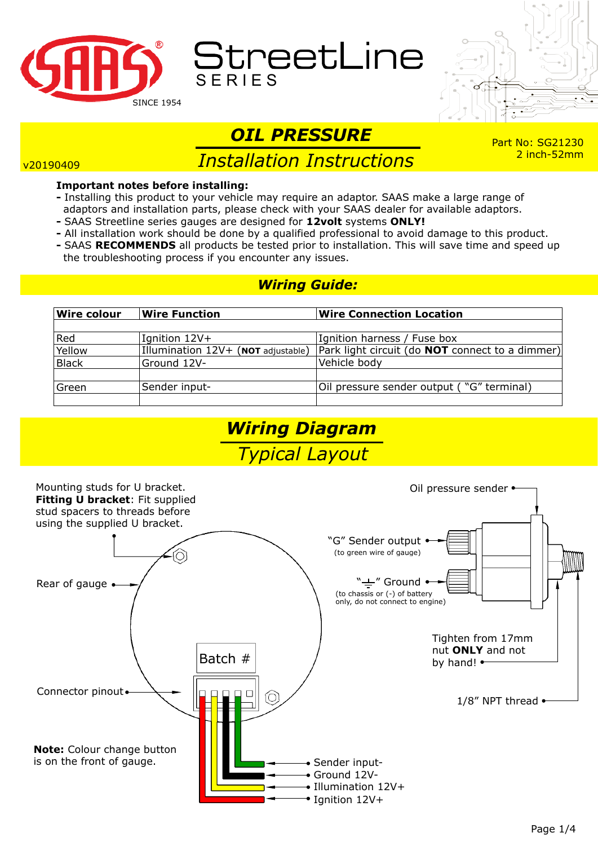

StreetLine



# *OIL PRESSURE*

#### v20190409

## *Installation Instructions*

#### Part No: SG21230 2 inch-52mm

#### **Important notes before installing:**

- Installing this product to your vehicle may require an adaptor. SAAS make a large range of adaptors and installation parts, please check with your SAAS dealer for available adaptors.
- SAAS Streetline series gauges are designed for **12volt** systems **ONLY!**
- **-** All installation work should be done by a qualified professional to avoid damage to this product.
- SAAS **RECOMMENDS** all products be tested prior to installation. This will save time and speed up the troubleshooting process if you encounter any issues.

## *Wiring Guide:*

| <b>Wire colour</b> | <b>Wire Function</b>                  | <b>Wire Connection Location</b>                        |
|--------------------|---------------------------------------|--------------------------------------------------------|
|                    |                                       |                                                        |
| Red                | Ignition 12V+                         | Ignition harness / Fuse box                            |
| Yellow             | Illumination $12V + (NOT$ adjustable) | Park light circuit (do <b>NOT</b> connect to a dimmer) |
| <b>Black</b>       | Ground 12V-                           | Vehicle body                                           |
|                    |                                       |                                                        |
| Green              | Sender input-                         | Oil pressure sender output ("G" terminal)              |
|                    |                                       |                                                        |



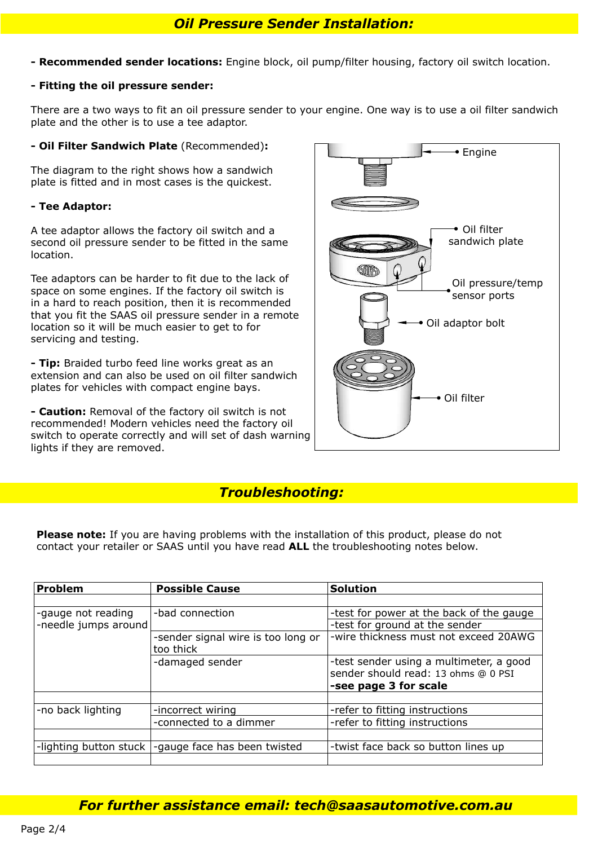**- Recommended sender locations:** Engine block, oil pump/filter housing, factory oil switch location.

#### **- Fitting the oil pressure sender:**

There are a two ways to fit an oil pressure sender to your engine. One way is to use a oil filter sandwich plate and the other is to use a tee adaptor.

#### **- Oil Filter Sandwich Plate** (Recommended)**:**

The diagram to the right shows how a sandwich plate is fitted and in most cases is the quickest.

#### **- Tee Adaptor:**

A tee adaptor allows the factory oil switch and a second oil pressure sender to be fitted in the same location.

Tee adaptors can be harder to fit due to the lack of space on some engines. If the factory oil switch is in a hard to reach position, then it is recommended that you fit the SAAS oil pressure sender in a remote location so it will be much easier to get to for servicing and testing.

**- Tip:** Braided turbo feed line works great as an extension and can also be used on oil filter sandwich plates for vehicles with compact engine bays.

**- Caution:** Removal of the factory oil switch is not recommended! Modern vehicles need the factory oil switch to operate correctly and will set of dash warning lights if they are removed.



### *Troubleshooting:*

**Please note:** If you are having problems with the installation of this product, please do not contact your retailer or SAAS until you have read **ALL** the troubleshooting notes below.

| <b>Problem</b>         | <b>Possible Cause</b>                           | <b>Solution</b>                                                                                         |  |
|------------------------|-------------------------------------------------|---------------------------------------------------------------------------------------------------------|--|
|                        |                                                 |                                                                                                         |  |
| -gauge not reading     | -bad connection                                 | -test for power at the back of the gauge                                                                |  |
| -needle jumps around   |                                                 | -test for ground at the sender                                                                          |  |
|                        | -sender signal wire is too long or<br>too thick | -wire thickness must not exceed 20AWG                                                                   |  |
|                        | -damaged sender                                 | -test sender using a multimeter, a good<br>sender should read: 13 ohms @ 0 PSI<br>-see page 3 for scale |  |
|                        |                                                 |                                                                                                         |  |
| -no back lighting      | -incorrect wiring                               | -refer to fitting instructions                                                                          |  |
|                        | -connected to a dimmer                          | -refer to fitting instructions                                                                          |  |
|                        |                                                 |                                                                                                         |  |
| -lighting button stuck | -gauge face has been twisted                    | -twist face back so button lines up                                                                     |  |
|                        |                                                 |                                                                                                         |  |

*For further assistance email: tech@saasautomotive.com.au*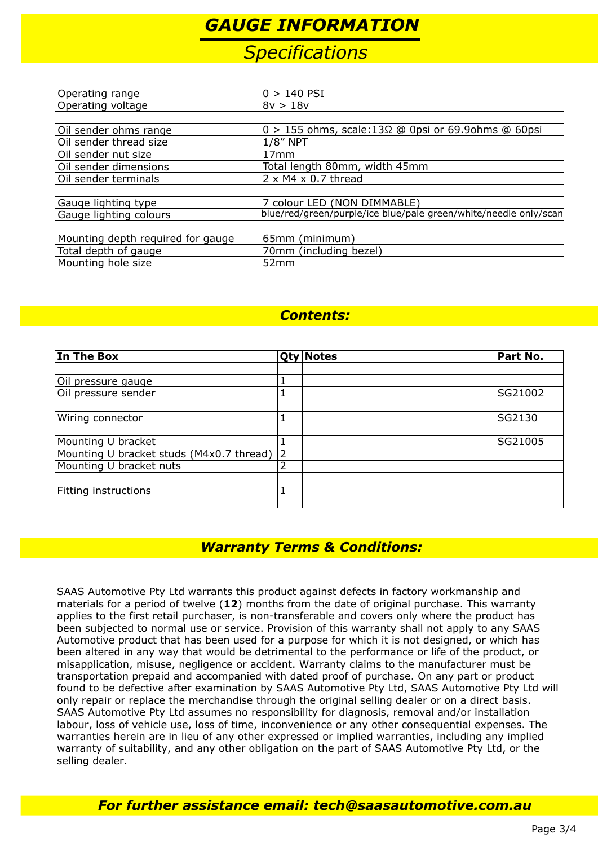## *GAUGE INFORMATION*

## *Specifications*

| Operating range                   | $0 > 140$ PSI                                                    |  |  |
|-----------------------------------|------------------------------------------------------------------|--|--|
| Operating voltage                 | 8v > 18v                                                         |  |  |
|                                   |                                                                  |  |  |
| Oil sender ohms range             | $0 > 155$ ohms, scale: 13 $\Omega$ @ 0psi or 69.9ohms @ 60psi    |  |  |
| Oil sender thread size            | $1/8''$ NPT                                                      |  |  |
| Oil sender nut size               | 17mm                                                             |  |  |
| Oil sender dimensions             | Total length 80mm, width 45mm                                    |  |  |
| Oil sender terminals              | $2 \times M4 \times 0.7$ thread                                  |  |  |
|                                   |                                                                  |  |  |
| Gauge lighting type               | 7 colour LED (NON DIMMABLE)                                      |  |  |
| Gauge lighting colours            | blue/red/green/purple/ice blue/pale green/white/needle only/scan |  |  |
|                                   |                                                                  |  |  |
| Mounting depth required for gauge | 65mm (minimum)                                                   |  |  |
| Total depth of gauge              | 70mm (including bezel)                                           |  |  |
| Mounting hole size                | 52 <sub>mm</sub>                                                 |  |  |
|                                   |                                                                  |  |  |

## *Contents:*

| In The Box                               |  | <b>Qty Notes</b> | Part No. |
|------------------------------------------|--|------------------|----------|
|                                          |  |                  |          |
| Oil pressure gauge                       |  |                  |          |
| Oil pressure sender                      |  |                  | SG21002  |
|                                          |  |                  |          |
| Wiring connector                         |  |                  | SG2130   |
|                                          |  |                  |          |
| Mounting U bracket                       |  |                  | SG21005  |
| Mounting U bracket studs (M4x0.7 thread) |  |                  |          |
| Mounting U bracket nuts                  |  |                  |          |
|                                          |  |                  |          |
| Fitting instructions                     |  |                  |          |
|                                          |  |                  |          |

## *Warranty Terms & Conditions:*

SAAS Automotive Pty Ltd warrants this product against defects in factory workmanship and materials for a period of twelve (**12**) months from the date of original purchase. This warranty applies to the first retail purchaser, is non-transferable and covers only where the product has been subjected to normal use or service. Provision of this warranty shall not apply to any SAAS Automotive product that has been used for a purpose for which it is not designed, or which has been altered in any way that would be detrimental to the performance or life of the product, or misapplication, misuse, negligence or accident. Warranty claims to the manufacturer must be transportation prepaid and accompanied with dated proof of purchase. On any part or product found to be defective after examination by SAAS Automotive Pty Ltd, SAAS Automotive Pty Ltd will only repair or replace the merchandise through the original selling dealer or on a direct basis. SAAS Automotive Pty Ltd assumes no responsibility for diagnosis, removal and/or installation labour, loss of vehicle use, loss of time, inconvenience or any other consequential expenses. The warranties herein are in lieu of any other expressed or implied warranties, including any implied warranty of suitability, and any other obligation on the part of SAAS Automotive Pty Ltd, or the selling dealer.

### *For further assistance email: tech@saasautomotive.com.au*